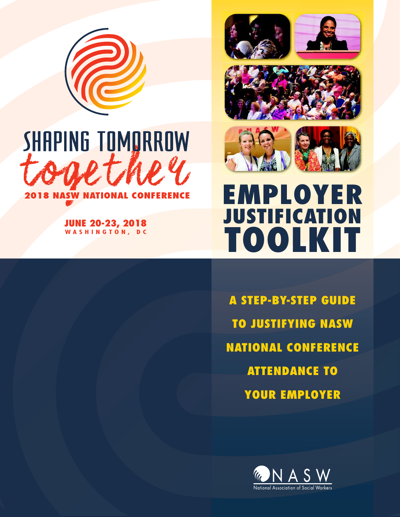



**JUNE 20-23, 2018 W A S H I N G T O N , D C**





# **EMPLOYER JUSTIFICATION TOOLKIT**

**A STEP-BY-STEP GUIDE TO JUSTIFYING NASW NATIONAL CONFERENCE ATTENDANCE TO YOUR EMPLOYER**

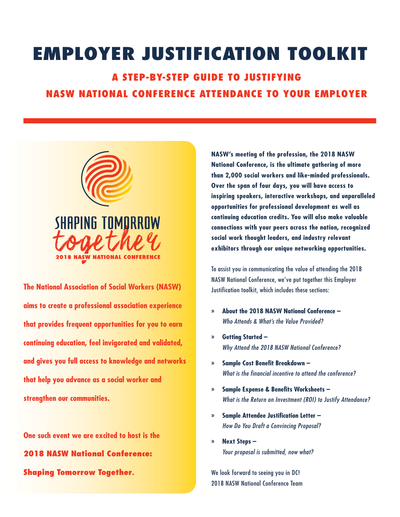# **EMPLOYER JUSTIFICATION TOOLKIT**

## **A STEP-BY-STEP GUIDE TO JUSTIFYING**

## **NASW NATIONAL CONFERENCE ATTENDANCE TO YOUR EMPLOYER**



**The National Association of Social Workers (NASW) aims to create a professional association experience that provides frequent opportunities for you to earn continuing education, feel invigorated and validated, and gives you full access to knowledge and networks that help you advance as a social worker and strengthen our communities.** 

**One such event we are excited to host is the 2018 NASW National Conference: Shaping Tomorrow Together.** 

**NASW's meeting of the profession, the 2018 NASW National Conference, is the ultimate gathering of more than 2,000 social workers and like-minded professionals. Over the span of four days, you will have access to inspiring speakers, interactive workshops, and unparalleled opportunities for professional development as well as continuing education credits. You will also make valuable connections with your peers across the nation, recognized social work thought leaders, and industry relevant exhibitors through our unique networking opportunities.**

To assist you in communicating the value of attending the 2018 NASW National Conference, we've put together this Employer Justification toolkit, which includes these sections:

- **» About the 2018 NASW National Conference –** *Who Attends & What's the Value Provided?*
- **» Getting Started –** *Why Attend the 2018 NASW National Conference?*
- **» Sample Cost Benefit Breakdown –** *What is the financial incentive to attend the conference?*
- **» Sample Expense & Benefits Worksheets –** *What is the Return on Investment (ROI) to Justify Attendance?*
- **» Sample Attendee Justification Letter –** *How Do You Draft a Convincing Proposal?*
- **» Next Steps –** *Your proposal is submitted, now what?*

We look forward to seeing you in DC! 2018 NASW National Conference Team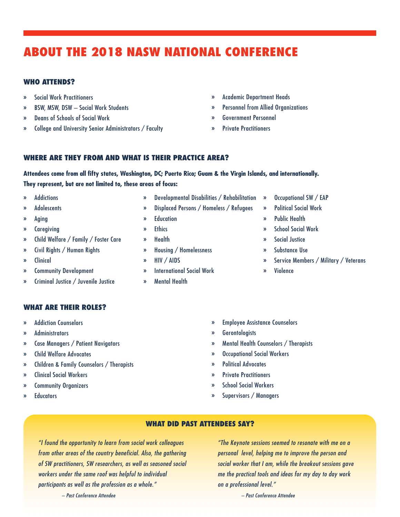## **ABOUT THE 2018 NASW NATIONAL CONFERENCE**

#### **WHO ATTENDS?**

- **»** Social Work Practitioners
- **»** BSW, MSW, DSW Social Work Students
- **»** Deans of Schools of Social Work
- **»** College and University Senior Administrators / Faculty
- **»** Academic Department Heads
- **»** Personnel from Allied Organizations
- **»** Government Personnel
- **»** Private Practitioners

## **WHERE ARE THEY FROM AND WHAT IS THEIR PRACTICE AREA?**

**Attendees come from all fifty states, Washington, DC; Puerto Rico; Guam & the Virgin Islands, and internationally. They represent, but are not limited to, these areas of focus:** 

- **»** Addictions
- **»** Adolescents
- **»** Aging
- **»** Caregiving
- **»** Child Welfare / Family / Foster Care
- **»** Civil Rights / Human Rights
- **»** Clinical
- **»** Community Development
- **»** Criminal Justice / Juvenile Justice
- **»** Developmental Disabilities / Rehabilitation
- **»** Displaced Persons / Homeless / Refugees
- **»** Housing / Homelessness
- 
- **»** International Social Work
- 
- **»** Occupational SW / EAP
- **»** Political Social Work
- **»** Public Health
- **»** School Social Work
- **»** Social Justice
- **»** Substance Use
- **»** Service Members / Military / Veterans
- **»** Violence

### **WHAT ARE THEIR ROLES?**

- **»** Addiction Counselors
- **»** Administrators
- **»** Case Managers / Patient Navigators
- **»** Child Welfare Advocates
- **»** Children & Family Counselors / Therapists
- **»** Clinical Social Workers
- **»** Community Organizers
- **»** Educators
- **»** Employee Assistance Counselors
- **»** Gerontologists
- **»** Mental Health Counselors / Therapists
- **»** Occupational Social Workers
- **»** Political Advocates
- **»** Private Practitioners
- **»** School Social Workers
- **»** Supervisors / Managers

## **WHAT DID PAST ATTENDEES SAY?**

*"I found the opportunity to learn from social work colleagues from other areas of the country beneficial. Also, the gathering of SW practitioners, SW researchers, as well as seasoned social workers under the same roof was helpful to individual participants as well as the profession as a whole."*

*"The Keynote sessions seemed to resonate with me on a personal level, helping me to improve the person and social worker that I am, while the breakout sessions gave me the practical tools and ideas for my day to day work on a professional level."*

*– Past Conference Attendee*

*– Past Conference Attendee*

- 
- **»** Mental Health
- **»** Ethics
	-
	- **»** HIV / AIDS
	-

- **»** Education
	- **»** Health
	-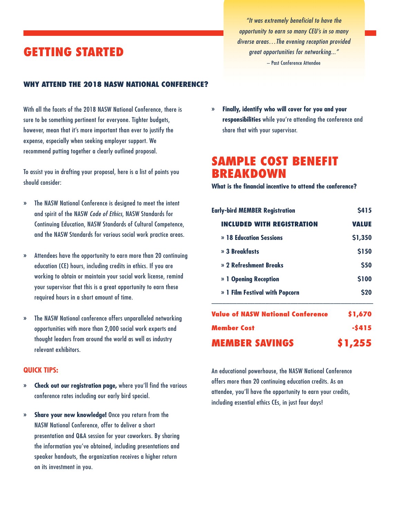## **GETTING STARTED**

**WHY ATTEND THE 2018 NASW NATIONAL CONFERENCE?**

With all the facets of the 2018 NASW National Conference, there is sure to be something pertinent for everyone. Tighter budgets, however, mean that it's more important than ever to justify the expense, especially when seeking employer support. We recommend putting together a clearly outlined proposal.

To assist you in drafting your proposal, here is a list of points you should consider:

- **»** The NASW National Conference is designed to meet the intent and spirit of the NASW *Code of Ethics*, NASW Standards for Continuing Education, NASW Standards of Cultural Competence, and the NASW Standards for various social work practice areas.
- **»** Attendees have the opportunity to earn more than 20 continuing education (CE) hours, including credits in ethics. If you are working to obtain or maintain your social work license, remind your supervisor that this is a great opportunity to earn these required hours in a short amount of time.
- **»** The NASW National conference offers unparalleled networking opportunities with more than 2,000 social work experts and thought leaders from around the world as well as industry relevant exhibitors.

#### **QUICK TIPS:**

- **» Check out our registration page,** where you'll find the various conference rates including our early bird special.
- **» Share your new knowledge!** Once you return from the NASW National Conference, offer to deliver a short presentation and Q&A session for your coworkers. By sharing the information you've obtained, including presentations and speaker handouts, the organization receives a higher return on its investment in you.

*"It was extremely beneficial to have the opportunity to earn so many CEU's in so many diverse areas…The evening reception provided great opportunities for networking..."* – Past Conference Attendee

**» Finally, identify who will cover for you and your responsibilities** while you're attending the conference and share that with your supervisor.

## **SAMPLE COST BENEFIT BREAKDOWN**

**What is the financial incentive to attend the conference?**

| <b>Early-bird MEMBER Registration</b>    | <b>S415</b>  |
|------------------------------------------|--------------|
| <b>INCLUDED WITH REGISTRATION</b>        | <b>VALUE</b> |
| » 18 Education Sessions                  | \$1,350      |
| » 3 Breakfasts                           | <b>\$150</b> |
| » 2 Refreshment Breaks                   | <b>\$50</b>  |
| » 1 Opening Reception                    | <b>S100</b>  |
| » 1 Film Festival with Popcorn           | <b>S20</b>   |
| <b>Value of NASW National Conference</b> | 51.670       |

| <b>Member Cost</b>    | $-5415$ |
|-----------------------|---------|
| <b>MEMBER SAVINGS</b> | \$1,255 |

An educational powerhouse, the NASW National Conference offers more than 20 continuing education credits. As an attendee, you'll have the opportunity to earn your credits, including essential ethics CEs, in just four days!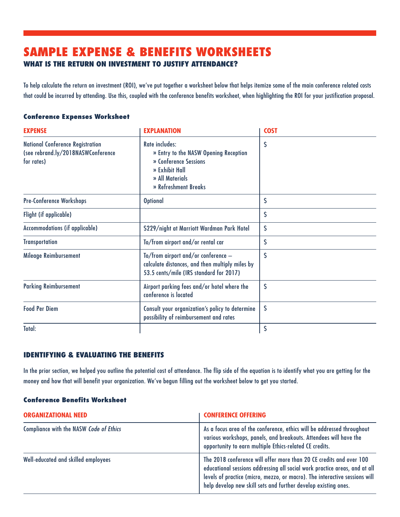## **SAMPLE EXPENSE & BENEFITS WORKSHEETS WHAT IS THE RETURN ON INVESTMENT TO JUSTIFY ATTENDANCE?**

To help calculate the return on investment (ROI), we've put together a worksheet below that helps itemize some of the main conference related costs that could be incurred by attending. Use this, coupled with the conference benefits worksheet, when highlighting the ROI for your justification proposal.

### **Conference Expenses Worksheet**

| <b>EXPENSE</b>                                                                              | <b>EXPLANATION</b>                                                                                                                            | <b>COST</b>  |
|---------------------------------------------------------------------------------------------|-----------------------------------------------------------------------------------------------------------------------------------------------|--------------|
| <b>National Conference Registration</b><br>(see rebrand.ly/2018NASWConference<br>for rates) | Rate includes:<br>» Entry to the NASW Opening Reception<br>» Conference Sessions<br>» Exhibit Hall<br>» All Materials<br>» Refreshment Breaks | S            |
| <b>Pre-Conference Workshops</b>                                                             | <b>Optional</b>                                                                                                                               | $\mathsf{S}$ |
| Flight (if applicable)                                                                      |                                                                                                                                               | S            |
| Accommodations (if applicable)                                                              | \$229/night at Marriott Wardman Park Hotel                                                                                                    | Ś            |
| <b>Transportation</b>                                                                       | To/from airport and/or rental car                                                                                                             | S            |
| Mileage Reimbursement                                                                       | To/from airport and/or conference -<br>calculate distances, and then multiply miles by<br>53.5 cents/mile (IRS standard for 2017)             | S            |
| <b>Parking Reimbursement</b>                                                                | Airport parking fees and/or hotel where the<br>conference is located                                                                          | $\mathsf{S}$ |
| <b>Food Per Diem</b>                                                                        | Consult your organization's policy to determine<br>possibility of reimbursement and rates                                                     | \$           |
| Total:                                                                                      |                                                                                                                                               | \$           |

## **IDENTIFYING & EVALUATING THE BENEFITS**

In the prior section, we helped you outline the potential cost of attendance. The flip side of the equation is to identify what you are getting for the money and how that will benefit your organization. We've begun filling out the worksheet below to get you started.

### **Conference Benefits Worksheet**

| <b>ORGANIZATIONAL NEED</b>              | <b>CONFERENCE OFFERING</b>                                                                                                                                                                                                                                                                        |
|-----------------------------------------|---------------------------------------------------------------------------------------------------------------------------------------------------------------------------------------------------------------------------------------------------------------------------------------------------|
| Compliance with the NASW Code of Ethics | As a focus area of the conference, ethics will be addressed throughout<br>various workshops, panels, and breakouts. Attendees will have the<br>opportunity to earn multiple Ethics-related CE credits.                                                                                            |
| Well-educated and skilled employees     | The 2018 conference will offer more than 20 CE credits and over 100<br>educational sessions addressing all social work practice areas, and at all<br>levels of practice (micro, mezzo, or macro). The interactive sessions will<br>help develop new skill sets and further develop existing ones. |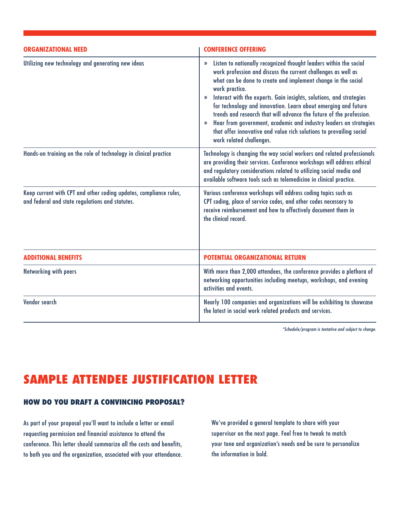| <b>ORGANIZATIONAL NEED</b>                                                                                           | <b>CONFERENCE OFFERING</b>                                                                                                                                                                                                                                                                                                                                                                                                                                                                                                                                                                                                                                     |
|----------------------------------------------------------------------------------------------------------------------|----------------------------------------------------------------------------------------------------------------------------------------------------------------------------------------------------------------------------------------------------------------------------------------------------------------------------------------------------------------------------------------------------------------------------------------------------------------------------------------------------------------------------------------------------------------------------------------------------------------------------------------------------------------|
| Utilizing new technology and generating new ideas                                                                    | » Listen to nationally recognized thought leaders within the social<br>work profession and discuss the current challenges as well as<br>what can be done to create and implement change in the social<br>work practice.<br>Interact with the experts. Gain insights, solutions, and strategies<br>$\mathcal{V}$<br>for technology and innovation. Learn about emerging and future<br>trends and research that will advance the future of the profession.<br>Hear from government, academic and industry leaders on strategies<br>$\boldsymbol{\mathcal{Y}}$<br>that offer innovative and value rich solutions to prevailing social<br>work related challenges. |
| Hands-on training on the role of technology in clinical practice                                                     | Technology is changing the way social workers and related professionals<br>are providing their services. Conference workshops will address ethical<br>and regulatory considerations related to utilizing social media and<br>available software tools such as telemedicine in clinical practice.                                                                                                                                                                                                                                                                                                                                                               |
| Keep current with CPT and other coding updates, compliance rules,<br>and federal and state regulations and statutes. | Various conference workshops will address coding topics such as<br>CPT coding, place of service codes, and other codes necessary to<br>receive reimbursement and how to effectively document them in<br>the clinical record.                                                                                                                                                                                                                                                                                                                                                                                                                                   |
| <b>ADDITIONAL BENEFITS</b>                                                                                           | <b>POTENTIAL ORGANIZATIONAL RETURN</b>                                                                                                                                                                                                                                                                                                                                                                                                                                                                                                                                                                                                                         |
| Networking with peers                                                                                                | With more than 2,000 attendees, the conference provides a plethora of<br>networking opportunities including meetups, workshops, and evening<br>activities and events.                                                                                                                                                                                                                                                                                                                                                                                                                                                                                          |
| Vendor search                                                                                                        | Nearly 100 companies and organizations will be exhibiting to showcase<br>the latest in social work related products and services.                                                                                                                                                                                                                                                                                                                                                                                                                                                                                                                              |

*\*Schedule/program is tentative and subject to change.*

## **SAMPLE ATTENDEE JUSTIFICATION LETTER**

## **HOW DO YOU DRAFT A CONVINCING PROPOSAL?**

As part of your proposal you'll want to include a letter or email requesting permission and financial assistance to attend the conference. This letter should summarize all the costs and benefits, to both you and the organization, associated with your attendance. We've provided a general template to share with your supervisor on the next page. Feel free to tweak to match your tone and organization's needs and be sure to personalize the information in bold.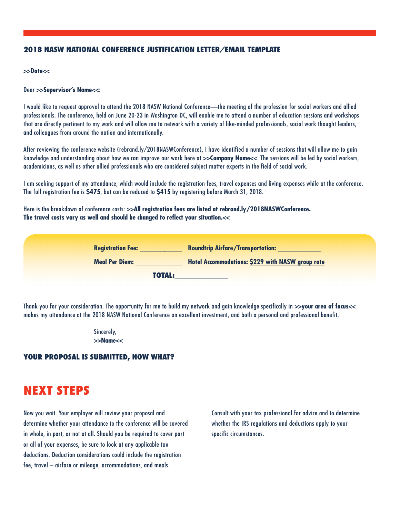#### **2018 NASW NATIONAL CONFERENCE JUSTIFICATION LETTER/EMAIL TEMPLATE**

#### **>>Date<<**

#### Dear **>>Supervisor's Name<<**:

I would like to request approval to attend the 2018 NASW National Conference—the meeting of the profession for social workers and allied professionals. The conference, held on June 20-23 in Washington DC, will enable me to attend a number of education sessions and workshops that are directly pertinent to my work and will allow me to network with a variety of like-minded professionals, social work thought leaders, and colleagues from around the nation and internationally.

After reviewing the conference website (rebrand.ly/2018NASWConference), I have identified a number of sessions that will allow me to gain knowledge and understanding about how we can improve our work here at **>>Company Name<<**. The sessions will be led by social workers, academicians, as well as other allied professionals who are considered subject matter experts in the field of social work.

I am seeking support of my attendance, which would include the registration fees, travel expenses and living expenses while at the conference. The full registration fee is **\$475**, but can be reduced to **\$415** by registering before March 31, 2018.

Here is the breakdown of conference costs: **>>All registration fees are listed at rebrand.ly/2018NASWConference. The travel costs vary as well and should be changed to reflect your situation.<<**

| <b>Registration Fee:</b> | <b>Roundtrip Airfare/Transportation:</b>                |
|--------------------------|---------------------------------------------------------|
| <b>Meal Per Diem:</b>    | <b>Hotel Accommodations: \$229 with NASW group rate</b> |
| <b>TOTAL:</b>            |                                                         |

Thank you for your consideration. The opportunity for me to build my network and gain knowledge specifically in **>>your area of focus<<** makes my attendance at the 2018 NASW National Conference an excellent investment, and both a personal and professional benefit.

> Sincerely, **>>Name<<**

## **YOUR PROPOSAL IS SUBMITTED, NOW WHAT?**

## **NEXT STEPS**

Now you wait. Your employer will review your proposal and determine whether your attendance to the conference will be covered in whole, in part, or not at all. Should you be required to cover part or all of your expenses, be sure to look at any applicable tax deductions. Deduction considerations could include the registration fee, travel – airfare or mileage, accommodations, and meals.

Consult with your tax professional for advice and to determine whether the IRS regulations and deductions apply to your specific circumstances.